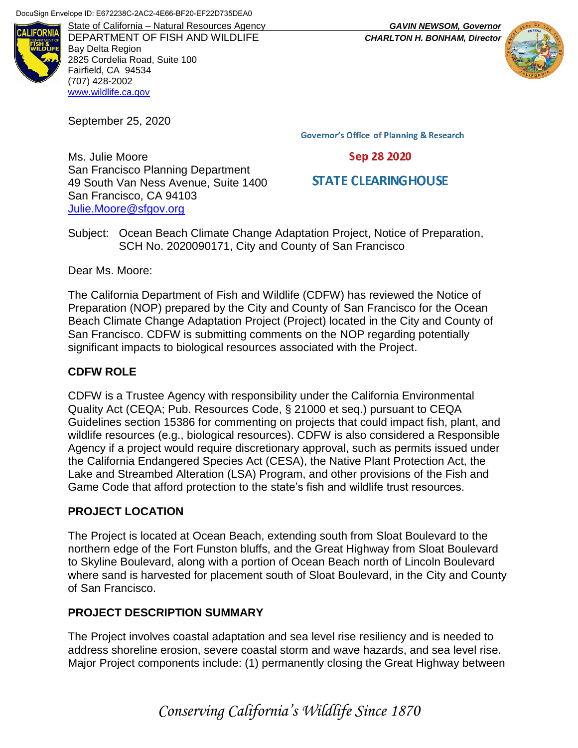

DEPARTMENT OF FISH AND WILDLIFE *CHARLTON H. BONHAM, Director* Bay Delta Region 2825 Cordelia Road, Suite 100 Fairfield, CA 94534 (707) 428-2002 [www.wildlife.ca.gov](http://www.wildlife.ca.gov/)

September 25, 2020

Ms. Julie Moore

**Governor's Office of Planning & Research** 

## Sep 28 2020

# **STATE CLEARING HOUSE**

San Francisco Planning Department 49 South Van Ness Avenue, Suite 1400 San Francisco, CA 94103 [Julie.Moore@sfgov.org](mailto:Julie.Moore@sfgov.org)

Subject: Ocean Beach Climate Change Adaptation Project, Notice of Preparation, SCH No. 2020090171, City and County of San Francisco

Dear Ms. Moore:

The California Department of Fish and Wildlife (CDFW) has reviewed the Notice of Preparation (NOP) prepared by the City and County of San Francisco for the Ocean Beach Climate Change Adaptation Project (Project) located in the City and County of San Francisco. CDFW is submitting comments on the NOP regarding potentially significant impacts to biological resources associated with the Project.

## **CDFW ROLE**

CDFW is a Trustee Agency with responsibility under the California Environmental Quality Act (CEQA; Pub. Resources Code, § 21000 et seq.) pursuant to CEQA Guidelines section 15386 for commenting on projects that could impact fish, plant, and wildlife resources (e.g., biological resources). CDFW is also considered a Responsible Agency if a project would require discretionary approval, such as permits issued under the California Endangered Species Act (CESA), the Native Plant Protection Act, the Lake and Streambed Alteration (LSA) Program, and other provisions of the Fish and Game Code that afford protection to the state's fish and wildlife trust resources.

# **PROJECT LOCATION**

The Project is located at Ocean Beach, extending south from Sloat Boulevard to the northern edge of the Fort Funston bluffs, and the Great Highway from Sloat Boulevard to Skyline Boulevard, along with a portion of Ocean Beach north of Lincoln Boulevard where sand is harvested for placement south of Sloat Boulevard, in the City and County of San Francisco.

### **PROJECT DESCRIPTION SUMMARY**

The Project involves coastal adaptation and sea level rise resiliency and is needed to address shoreline erosion, severe coastal storm and wave hazards, and sea level rise. Major Project components include: (1) permanently closing the Great Highway between

*Conserving California's Wildlife Since 1870*

State of California – Natural Resources Agency *GAVIN NEWSOM, Governor*

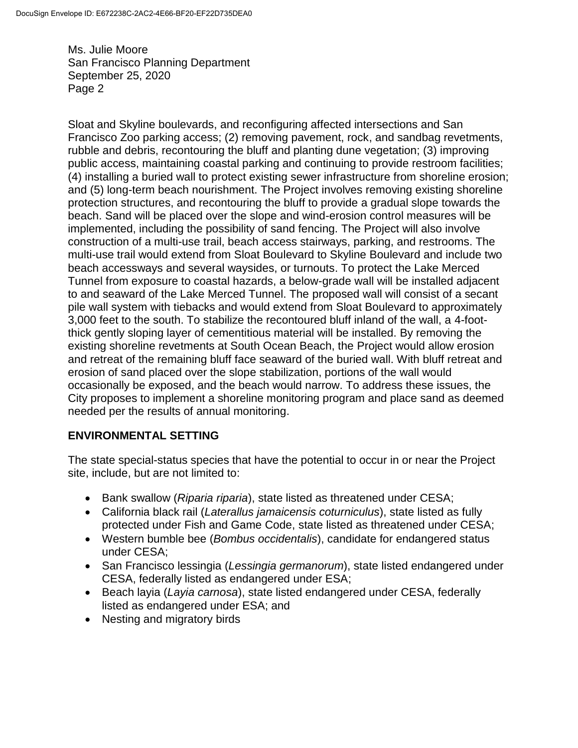Sloat and Skyline boulevards, and reconfiguring affected intersections and San Francisco Zoo parking access; (2) removing pavement, rock, and sandbag revetments, rubble and debris, recontouring the bluff and planting dune vegetation; (3) improving public access, maintaining coastal parking and continuing to provide restroom facilities; (4) installing a buried wall to protect existing sewer infrastructure from shoreline erosion; and (5) long-term beach nourishment. The Project involves removing existing shoreline protection structures, and recontouring the bluff to provide a gradual slope towards the beach. Sand will be placed over the slope and wind-erosion control measures will be implemented, including the possibility of sand fencing. The Project will also involve construction of a multi-use trail, beach access stairways, parking, and restrooms. The multi-use trail would extend from Sloat Boulevard to Skyline Boulevard and include two beach accessways and several waysides, or turnouts. To protect the Lake Merced Tunnel from exposure to coastal hazards, a below-grade wall will be installed adjacent to and seaward of the Lake Merced Tunnel. The proposed wall will consist of a secant pile wall system with tiebacks and would extend from Sloat Boulevard to approximately 3,000 feet to the south. To stabilize the recontoured bluff inland of the wall, a 4-footthick gently sloping layer of cementitious material will be installed. By removing the existing shoreline revetments at South Ocean Beach, the Project would allow erosion and retreat of the remaining bluff face seaward of the buried wall. With bluff retreat and erosion of sand placed over the slope stabilization, portions of the wall would occasionally be exposed, and the beach would narrow. To address these issues, the City proposes to implement a shoreline monitoring program and place sand as deemed needed per the results of annual monitoring.

# **ENVIRONMENTAL SETTING**

The state special-status species that have the potential to occur in or near the Project site, include, but are not limited to:

- Bank swallow (*Riparia riparia*), state listed as threatened under CESA;
- California black rail (*Laterallus jamaicensis coturniculus*), state listed as fully protected under Fish and Game Code, state listed as threatened under CESA;
- Western bumble bee (*Bombus occidentalis*), candidate for endangered status under CESA;
- San Francisco lessingia (*Lessingia germanorum*), state listed endangered under CESA, federally listed as endangered under ESA;
- Beach layia (*Layia carnosa*), state listed endangered under CESA, federally listed as endangered under ESA; and
- Nesting and migratory birds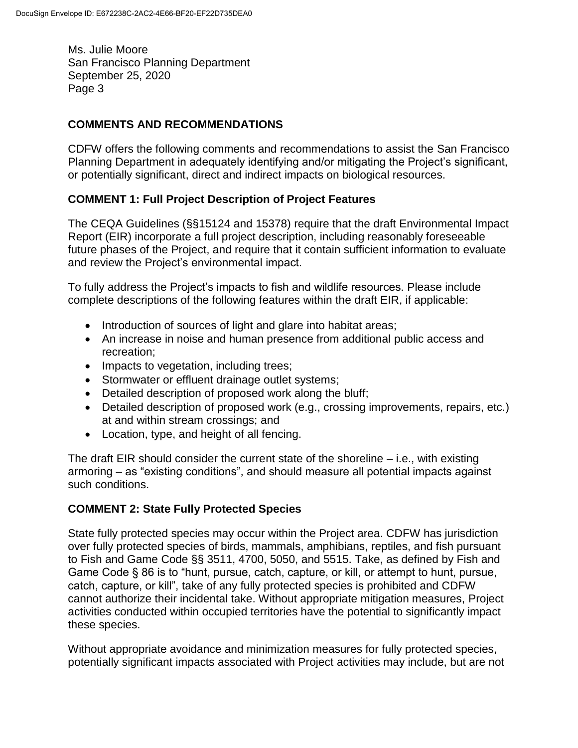## **COMMENTS AND RECOMMENDATIONS**

CDFW offers the following comments and recommendations to assist the San Francisco Planning Department in adequately identifying and/or mitigating the Project's significant, or potentially significant, direct and indirect impacts on biological resources.

## **COMMENT 1: Full Project Description of Project Features**

The CEQA Guidelines (§§15124 and 15378) require that the draft Environmental Impact Report (EIR) incorporate a full project description, including reasonably foreseeable future phases of the Project, and require that it contain sufficient information to evaluate and review the Project's environmental impact.

To fully address the Project's impacts to fish and wildlife resources. Please include complete descriptions of the following features within the draft EIR, if applicable:

- Introduction of sources of light and glare into habitat areas;
- An increase in noise and human presence from additional public access and recreation;
- Impacts to vegetation, including trees;
- Stormwater or effluent drainage outlet systems;
- Detailed description of proposed work along the bluff;
- Detailed description of proposed work (e.g., crossing improvements, repairs, etc.) at and within stream crossings; and
- Location, type, and height of all fencing.

The draft EIR should consider the current state of the shoreline – i.e., with existing armoring – as "existing conditions", and should measure all potential impacts against such conditions.

### **COMMENT 2: State Fully Protected Species**

State fully protected species may occur within the Project area. CDFW has jurisdiction over fully protected species of birds, mammals, amphibians, reptiles, and fish pursuant to Fish and Game Code §§ 3511, 4700, 5050, and 5515. Take, as defined by Fish and Game Code § 86 is to "hunt, pursue, catch, capture, or kill, or attempt to hunt, pursue, catch, capture, or kill", take of any fully protected species is prohibited and CDFW cannot authorize their incidental take. Without appropriate mitigation measures, Project activities conducted within occupied territories have the potential to significantly impact these species.

Without appropriate avoidance and minimization measures for fully protected species, potentially significant impacts associated with Project activities may include, but are not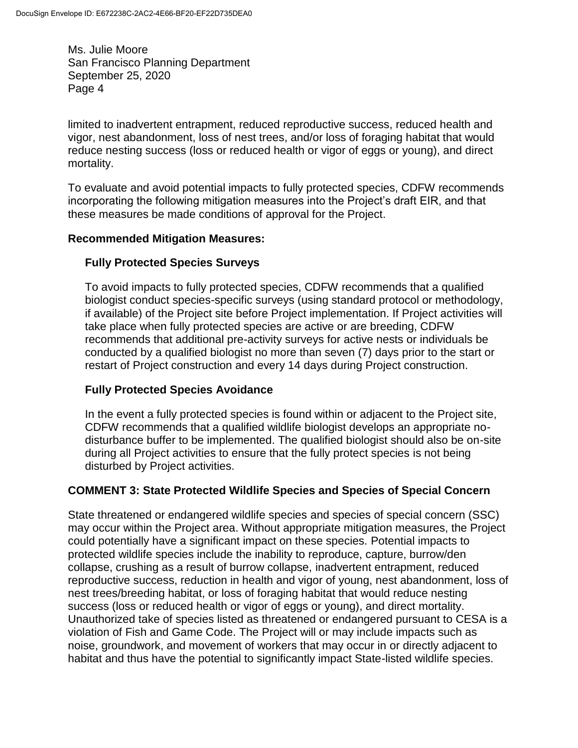limited to inadvertent entrapment, reduced reproductive success, reduced health and vigor, nest abandonment, loss of nest trees, and/or loss of foraging habitat that would reduce nesting success (loss or reduced health or vigor of eggs or young), and direct mortality.

To evaluate and avoid potential impacts to fully protected species, CDFW recommends incorporating the following mitigation measures into the Project's draft EIR, and that these measures be made conditions of approval for the Project.

### **Recommended Mitigation Measures:**

## **Fully Protected Species Surveys**

To avoid impacts to fully protected species, CDFW recommends that a qualified biologist conduct species-specific surveys (using standard protocol or methodology, if available) of the Project site before Project implementation. If Project activities will take place when fully protected species are active or are breeding, CDFW recommends that additional pre-activity surveys for active nests or individuals be conducted by a qualified biologist no more than seven (7) days prior to the start or restart of Project construction and every 14 days during Project construction.

### **Fully Protected Species Avoidance**

In the event a fully protected species is found within or adjacent to the Project site, CDFW recommends that a qualified wildlife biologist develops an appropriate nodisturbance buffer to be implemented. The qualified biologist should also be on-site during all Project activities to ensure that the fully protect species is not being disturbed by Project activities.

### **COMMENT 3: State Protected Wildlife Species and Species of Special Concern**

State threatened or endangered wildlife species and species of special concern (SSC) may occur within the Project area. Without appropriate mitigation measures, the Project could potentially have a significant impact on these species. Potential impacts to protected wildlife species include the inability to reproduce, capture, burrow/den collapse, crushing as a result of burrow collapse, inadvertent entrapment, reduced reproductive success, reduction in health and vigor of young, nest abandonment, loss of nest trees/breeding habitat, or loss of foraging habitat that would reduce nesting success (loss or reduced health or vigor of eggs or young), and direct mortality. Unauthorized take of species listed as threatened or endangered pursuant to CESA is a violation of Fish and Game Code. The Project will or may include impacts such as noise, groundwork, and movement of workers that may occur in or directly adjacent to habitat and thus have the potential to significantly impact State-listed wildlife species.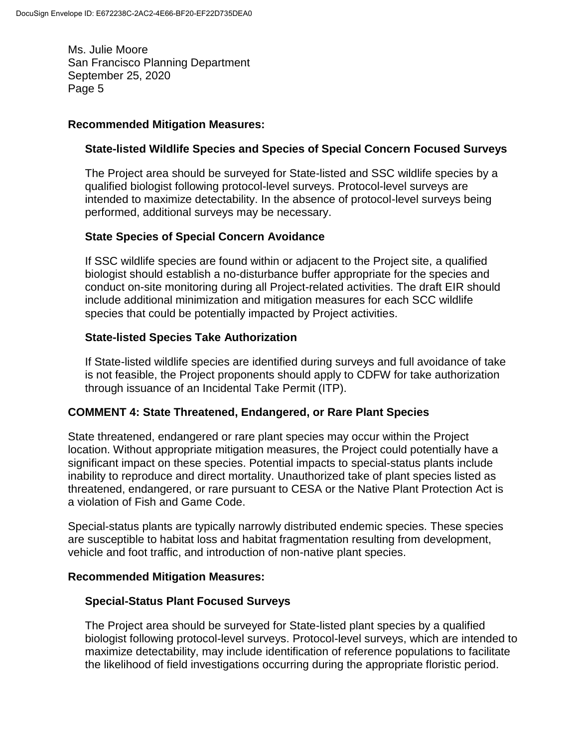#### **Recommended Mitigation Measures:**

### **State-listed Wildlife Species and Species of Special Concern Focused Surveys**

The Project area should be surveyed for State-listed and SSC wildlife species by a qualified biologist following protocol-level surveys. Protocol-level surveys are intended to maximize detectability. In the absence of protocol-level surveys being performed, additional surveys may be necessary.

### **State Species of Special Concern Avoidance**

If SSC wildlife species are found within or adjacent to the Project site, a qualified biologist should establish a no-disturbance buffer appropriate for the species and conduct on-site monitoring during all Project-related activities. The draft EIR should include additional minimization and mitigation measures for each SCC wildlife species that could be potentially impacted by Project activities.

#### **State-listed Species Take Authorization**

If State-listed wildlife species are identified during surveys and full avoidance of take is not feasible, the Project proponents should apply to CDFW for take authorization through issuance of an Incidental Take Permit (ITP).

### **COMMENT 4: State Threatened, Endangered, or Rare Plant Species**

State threatened, endangered or rare plant species may occur within the Project location. Without appropriate mitigation measures, the Project could potentially have a significant impact on these species. Potential impacts to special-status plants include inability to reproduce and direct mortality. Unauthorized take of plant species listed as threatened, endangered, or rare pursuant to CESA or the Native Plant Protection Act is a violation of Fish and Game Code.

Special-status plants are typically narrowly distributed endemic species. These species are susceptible to habitat loss and habitat fragmentation resulting from development, vehicle and foot traffic, and introduction of non-native plant species.

#### **Recommended Mitigation Measures:**

#### **Special-Status Plant Focused Surveys**

The Project area should be surveyed for State-listed plant species by a qualified biologist following protocol-level surveys. Protocol-level surveys, which are intended to maximize detectability, may include identification of reference populations to facilitate the likelihood of field investigations occurring during the appropriate floristic period.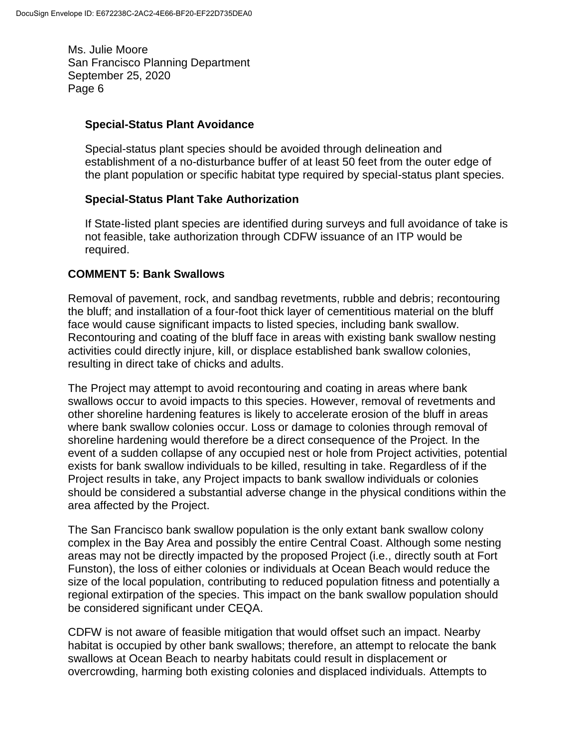#### **Special-Status Plant Avoidance**

Special-status plant species should be avoided through delineation and establishment of a no-disturbance buffer of at least 50 feet from the outer edge of the plant population or specific habitat type required by special-status plant species.

### **Special-Status Plant Take Authorization**

If State-listed plant species are identified during surveys and full avoidance of take is not feasible, take authorization through CDFW issuance of an ITP would be required.

### **COMMENT 5: Bank Swallows**

Removal of pavement, rock, and sandbag revetments, rubble and debris; recontouring the bluff; and installation of a four-foot thick layer of cementitious material on the bluff face would cause significant impacts to listed species, including bank swallow. Recontouring and coating of the bluff face in areas with existing bank swallow nesting activities could directly injure, kill, or displace established bank swallow colonies, resulting in direct take of chicks and adults.

The Project may attempt to avoid recontouring and coating in areas where bank swallows occur to avoid impacts to this species. However, removal of revetments and other shoreline hardening features is likely to accelerate erosion of the bluff in areas where bank swallow colonies occur. Loss or damage to colonies through removal of shoreline hardening would therefore be a direct consequence of the Project. In the event of a sudden collapse of any occupied nest or hole from Project activities, potential exists for bank swallow individuals to be killed, resulting in take. Regardless of if the Project results in take, any Project impacts to bank swallow individuals or colonies should be considered a substantial adverse change in the physical conditions within the area affected by the Project.

The San Francisco bank swallow population is the only extant bank swallow colony complex in the Bay Area and possibly the entire Central Coast. Although some nesting areas may not be directly impacted by the proposed Project (i.e., directly south at Fort Funston), the loss of either colonies or individuals at Ocean Beach would reduce the size of the local population, contributing to reduced population fitness and potentially a regional extirpation of the species. This impact on the bank swallow population should be considered significant under CEQA.

CDFW is not aware of feasible mitigation that would offset such an impact. Nearby habitat is occupied by other bank swallows; therefore, an attempt to relocate the bank swallows at Ocean Beach to nearby habitats could result in displacement or overcrowding, harming both existing colonies and displaced individuals. Attempts to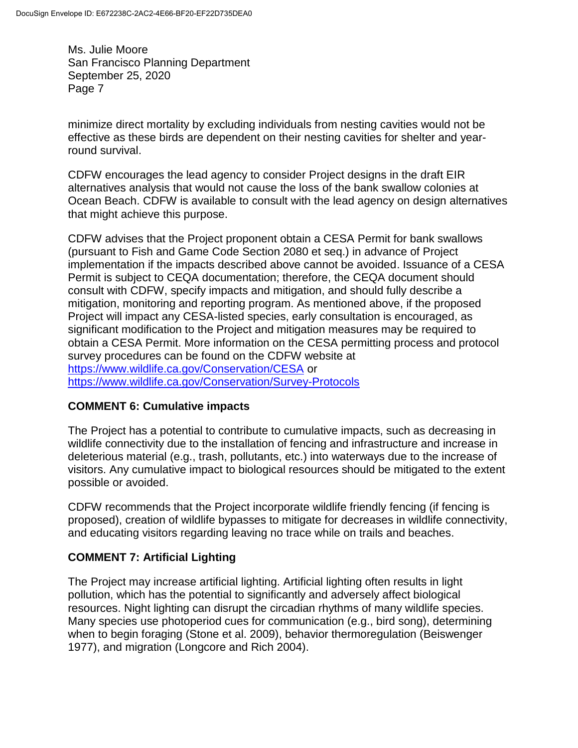minimize direct mortality by excluding individuals from nesting cavities would not be effective as these birds are dependent on their nesting cavities for shelter and yearround survival.

CDFW encourages the lead agency to consider Project designs in the draft EIR alternatives analysis that would not cause the loss of the bank swallow colonies at Ocean Beach. CDFW is available to consult with the lead agency on design alternatives that might achieve this purpose.

CDFW advises that the Project proponent obtain a CESA Permit for bank swallows (pursuant to Fish and Game Code Section 2080 et seq.) in advance of Project implementation if the impacts described above cannot be avoided. Issuance of a CESA Permit is subject to CEQA documentation; therefore, the CEQA document should consult with CDFW, specify impacts and mitigation, and should fully describe a mitigation, monitoring and reporting program. As mentioned above, if the proposed Project will impact any CESA-listed species, early consultation is encouraged, as significant modification to the Project and mitigation measures may be required to obtain a CESA Permit. More information on the CESA permitting process and protocol survey procedures can be found on the CDFW website at <https://www.wildlife.ca.gov/Conservation/CESA> or <https://www.wildlife.ca.gov/Conservation/Survey-Protocols>

# **COMMENT 6: Cumulative impacts**

The Project has a potential to contribute to cumulative impacts, such as decreasing in wildlife connectivity due to the installation of fencing and infrastructure and increase in deleterious material (e.g., trash, pollutants, etc.) into waterways due to the increase of visitors. Any cumulative impact to biological resources should be mitigated to the extent possible or avoided.

CDFW recommends that the Project incorporate wildlife friendly fencing (if fencing is proposed), creation of wildlife bypasses to mitigate for decreases in wildlife connectivity, and educating visitors regarding leaving no trace while on trails and beaches.

# **COMMENT 7: Artificial Lighting**

The Project may increase artificial lighting. Artificial lighting often results in light pollution, which has the potential to significantly and adversely affect biological resources. Night lighting can disrupt the circadian rhythms of many wildlife species. Many species use photoperiod cues for communication (e.g., bird song), determining when to begin foraging (Stone et al. 2009), behavior thermoregulation (Beiswenger 1977), and migration (Longcore and Rich 2004).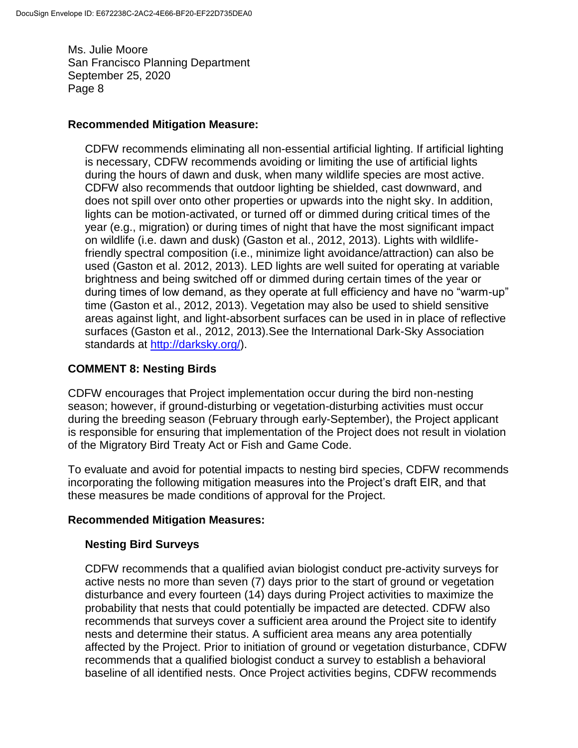#### **Recommended Mitigation Measure:**

CDFW recommends eliminating all non-essential artificial lighting. If artificial lighting is necessary, CDFW recommends avoiding or limiting the use of artificial lights during the hours of dawn and dusk, when many wildlife species are most active. CDFW also recommends that outdoor lighting be shielded, cast downward, and does not spill over onto other properties or upwards into the night sky. In addition, lights can be motion-activated, or turned off or dimmed during critical times of the year (e.g., migration) or during times of night that have the most significant impact on wildlife (i.e. dawn and dusk) (Gaston et al., 2012, 2013). Lights with wildlifefriendly spectral composition (i.e., minimize light avoidance/attraction) can also be used (Gaston et al. 2012, 2013). LED lights are well suited for operating at variable brightness and being switched off or dimmed during certain times of the year or during times of low demand, as they operate at full efficiency and have no "warm-up" time (Gaston et al., 2012, 2013). Vegetation may also be used to shield sensitive areas against light, and light-absorbent surfaces can be used in in place of reflective surfaces (Gaston et al., 2012, 2013).See the International Dark-Sky Association standards at [http://darksky.org/\)](http://darksky.org/).

### **COMMENT 8: Nesting Birds**

CDFW encourages that Project implementation occur during the bird non-nesting season; however, if ground-disturbing or vegetation-disturbing activities must occur during the breeding season (February through early-September), the Project applicant is responsible for ensuring that implementation of the Project does not result in violation of the Migratory Bird Treaty Act or Fish and Game Code.

To evaluate and avoid for potential impacts to nesting bird species, CDFW recommends incorporating the following mitigation measures into the Project's draft EIR, and that these measures be made conditions of approval for the Project.

### **Recommended Mitigation Measures:**

### **Nesting Bird Surveys**

CDFW recommends that a qualified avian biologist conduct pre-activity surveys for active nests no more than seven (7) days prior to the start of ground or vegetation disturbance and every fourteen (14) days during Project activities to maximize the probability that nests that could potentially be impacted are detected. CDFW also recommends that surveys cover a sufficient area around the Project site to identify nests and determine their status. A sufficient area means any area potentially affected by the Project. Prior to initiation of ground or vegetation disturbance, CDFW recommends that a qualified biologist conduct a survey to establish a behavioral baseline of all identified nests. Once Project activities begins, CDFW recommends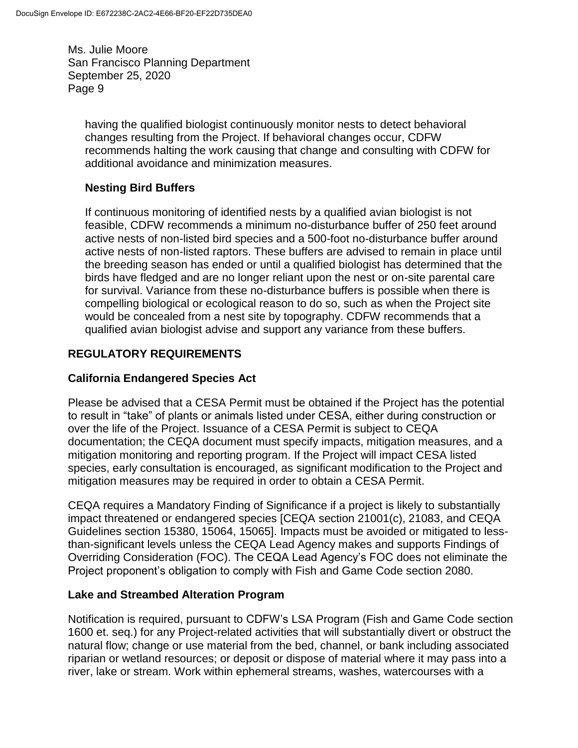having the qualified biologist continuously monitor nests to detect behavioral changes resulting from the Project. If behavioral changes occur, CDFW recommends halting the work causing that change and consulting with CDFW for additional avoidance and minimization measures.

# **Nesting Bird Buffers**

If continuous monitoring of identified nests by a qualified avian biologist is not feasible, CDFW recommends a minimum no-disturbance buffer of 250 feet around active nests of non-listed bird species and a 500-foot no-disturbance buffer around active nests of non-listed raptors. These buffers are advised to remain in place until the breeding season has ended or until a qualified biologist has determined that the birds have fledged and are no longer reliant upon the nest or on-site parental care for survival. Variance from these no-disturbance buffers is possible when there is compelling biological or ecological reason to do so, such as when the Project site would be concealed from a nest site by topography. CDFW recommends that a qualified avian biologist advise and support any variance from these buffers.

# **REGULATORY REQUIREMENTS**

## **California Endangered Species Act**

Please be advised that a CESA Permit must be obtained if the Project has the potential to result in "take" of plants or animals listed under CESA, either during construction or over the life of the Project. Issuance of a CESA Permit is subject to CEQA documentation; the CEQA document must specify impacts, mitigation measures, and a mitigation monitoring and reporting program. If the Project will impact CESA listed species, early consultation is encouraged, as significant modification to the Project and mitigation measures may be required in order to obtain a CESA Permit.

CEQA requires a Mandatory Finding of Significance if a project is likely to substantially impact threatened or endangered species [CEQA section 21001(c), 21083, and CEQA Guidelines section 15380, 15064, 15065]. Impacts must be avoided or mitigated to lessthan-significant levels unless the CEQA Lead Agency makes and supports Findings of Overriding Consideration (FOC). The CEQA Lead Agency's FOC does not eliminate the Project proponent's obligation to comply with Fish and Game Code section 2080.

### **Lake and Streambed Alteration Program**

Notification is required, pursuant to CDFW's LSA Program (Fish and Game Code section 1600 et. seq.) for any Project-related activities that will substantially divert or obstruct the natural flow; change or use material from the bed, channel, or bank including associated riparian or wetland resources; or deposit or dispose of material where it may pass into a river, lake or stream. Work within ephemeral streams, washes, watercourses with a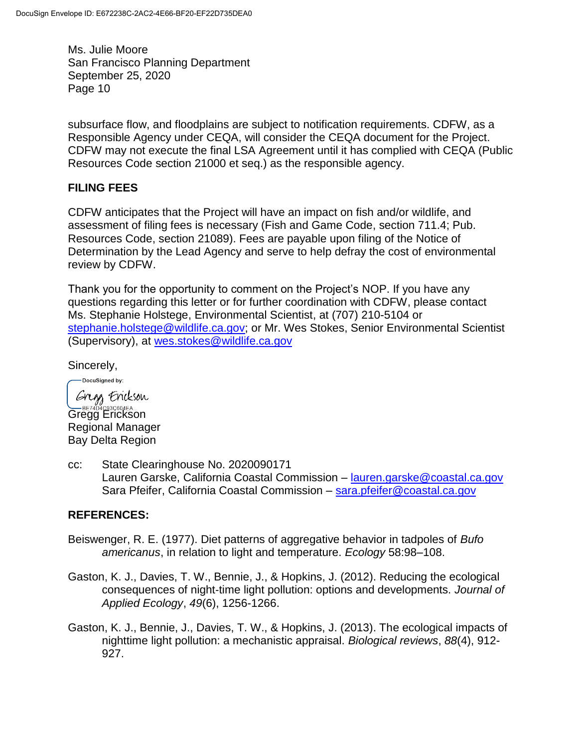subsurface flow, and floodplains are subject to notification requirements. CDFW, as a Responsible Agency under CEQA, will consider the CEQA document for the Project. CDFW may not execute the final LSA Agreement until it has complied with CEQA (Public Resources Code section 21000 et seq.) as the responsible agency.

### **FILING FEES**

CDFW anticipates that the Project will have an impact on fish and/or wildlife, and assessment of filing fees is necessary (Fish and Game Code, section 711.4; Pub. Resources Code, section 21089). Fees are payable upon filing of the Notice of Determination by the Lead Agency and serve to help defray the cost of environmental review by CDFW.

Thank you for the opportunity to comment on the Project's NOP. If you have any questions regarding this letter or for further coordination with CDFW, please contact Ms. Stephanie Holstege, Environmental Scientist, at (707) 210-5104 or [stephanie.holstege@wildlife.ca.gov;](mailto:stephanie.holstege@wildlife.ca.gov) or Mr. Wes Stokes, Senior Environmental Scientist (Supervisory), at [wes.stokes@wildlife.ca.gov](mailto:wes.stokes@wildlife.ca.gov)

Sincerely,

DocuSigned by:

Grigg Erickson Gregg Erickson Regional Manager Bay Delta Region

cc: State Clearinghouse No. 2020090171 Lauren Garske, California Coastal Commission – [lauren.garske@coastal.ca.gov](mailto:lauren.garske@coastal.ca.gov) Sara Pfeifer, California Coastal Commission - [sara.pfeifer@coastal.ca.gov](mailto:sara.pfeifer@coastal.ca.gov)

### **REFERENCES:**

- Beiswenger, R. E. (1977). Diet patterns of aggregative behavior in tadpoles of *Bufo americanus*, in relation to light and temperature. *Ecology* 58:98–108.
- Gaston, K. J., Davies, T. W., Bennie, J., & Hopkins, J. (2012). Reducing the ecological consequences of night‐time light pollution: options and developments. *Journal of Applied Ecology*, *49*(6), 1256-1266.
- Gaston, K. J., Bennie, J., Davies, T. W., & Hopkins, J. (2013). The ecological impacts of nighttime light pollution: a mechanistic appraisal. *Biological reviews*, *88*(4), 912- 927.